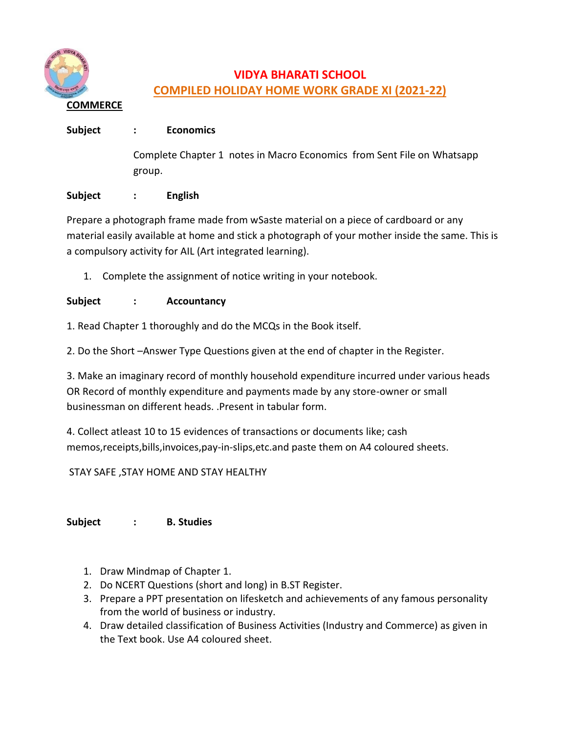

# **VIDYA BHARATI SCHOOL COMPILED HOLIDAY HOME WORK GRADE XI (2021-22)**

## **Subject : Economics**

Complete Chapter 1 notes in Macro Economics from Sent File on Whatsapp group.

## **Subject : English**

Prepare a photograph frame made from wSaste material on a piece of cardboard or any material easily available at home and stick a photograph of your mother inside the same. This is a compulsory activity for AIL (Art integrated learning).

1. Complete the assignment of notice writing in your notebook.

## **Subject : Accountancy**

1. Read Chapter 1 thoroughly and do the MCQs in the Book itself.

2. Do the Short –Answer Type Questions given at the end of chapter in the Register.

3. Make an imaginary record of monthly household expenditure incurred under various heads OR Record of monthly expenditure and payments made by any store-owner or small businessman on different heads. .Present in tabular form.

4. Collect atleast 10 to 15 evidences of transactions or documents like; cash memos,receipts,bills,invoices,pay-in-slips,etc.and paste them on A4 coloured sheets.

## STAY SAFE ,STAY HOME AND STAY HEALTHY

**Subject : B. Studies**

- 1. Draw Mindmap of Chapter 1.
- 2. Do NCERT Questions (short and long) in B.ST Register.
- 3. Prepare a PPT presentation on lifesketch and achievements of any famous personality from the world of business or industry.
- 4. Draw detailed classification of Business Activities (Industry and Commerce) as given in the Text book. Use A4 coloured sheet.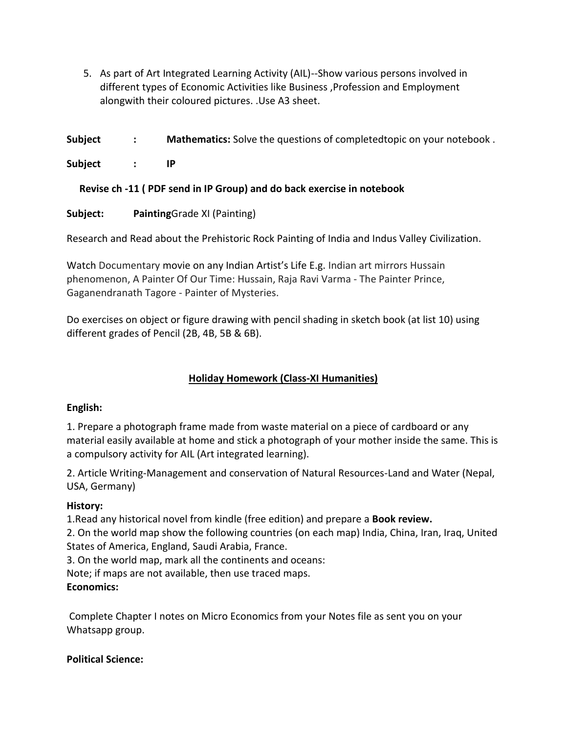5. As part of Art Integrated Learning Activity (AIL)--Show various persons involved in different types of Economic Activities like Business ,Profession and Employment alongwith their coloured pictures. .Use A3 sheet.

**Subject : Mathematics:** Solve the questions of completedtopic on your notebook .

**Subject : IP**

 **Revise ch -11 ( PDF send in IP Group) and do back exercise in notebook**

**Subject: Painting**Grade XI (Painting)

Research and Read about the Prehistoric Rock Painting of India and Indus Valley Civilization.

Watch Documentary movie on any Indian Artist's Life E.g. Indian art mirrors Hussain phenomenon, A Painter Of Our Time: Hussain, Raja Ravi Varma - The Painter Prince, Gaganendranath Tagore - Painter of Mysteries.

Do exercises on object or figure drawing with pencil shading in sketch book (at list 10) using different grades of Pencil (2B, 4B, 5B & 6B).

## **Holiday Homework (Class-XI Humanities)**

## **English:**

1. Prepare a photograph frame made from waste material on a piece of cardboard or any material easily available at home and stick a photograph of your mother inside the same. This is a compulsory activity for AIL (Art integrated learning).

2. Article Writing-Management and conservation of Natural Resources-Land and Water (Nepal, USA, Germany)

#### **History:**

1.Read any historical novel from kindle (free edition) and prepare a **Book review.**

2. On the world map show the following countries (on each map) India, China, Iran, Iraq, United States of America, England, Saudi Arabia, France.

3. On the world map, mark all the continents and oceans:

Note; if maps are not available, then use traced maps.

## **Economics:**

Complete Chapter I notes on Micro Economics from your Notes file as sent you on your Whatsapp group.

## **Political Science:**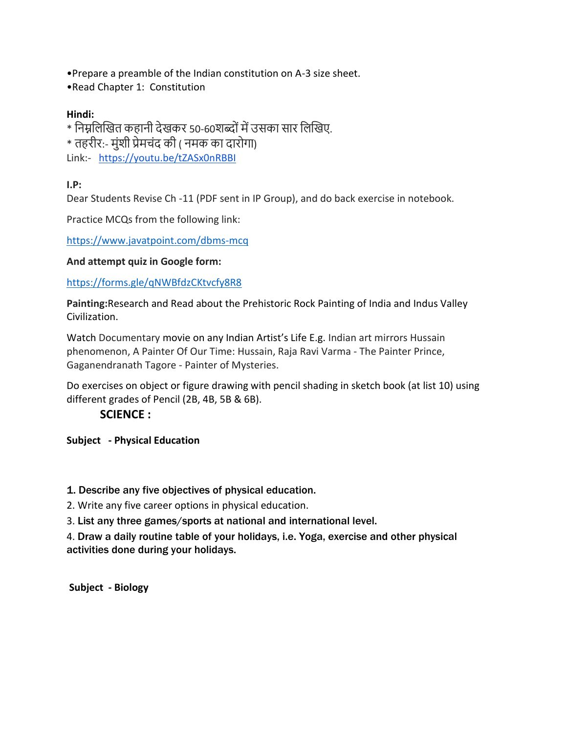- •Prepare a preamble of the Indian constitution on A-3 size sheet.
- •Read Chapter 1: Constitution

## **Hindi:**

\* निम्ननिखित कहािी देिकर 50-60शब्दोंमेंउसका सार निखिए.

\* तहरीर:- मंशी प्रेमचंद की ( नमक का दारोगा)

Link:- <https://youtu.be/tZASx0nRBBI>

## **I.P:**

Dear Students Revise Ch -11 (PDF sent in IP Group), and do back exercise in notebook.

Practice MCQs from the following link:

<https://www.javatpoint.com/dbms-mcq>

## **And attempt quiz in Google form:**

## <https://forms.gle/qNWBfdzCKtvcfy8R8>

**Painting:**Research and Read about the Prehistoric Rock Painting of India and Indus Valley Civilization.

Watch Documentary movie on any Indian Artist's Life E.g. Indian art mirrors Hussain phenomenon, A Painter Of Our Time: Hussain, Raja Ravi Varma - The Painter Prince, Gaganendranath Tagore - Painter of Mysteries.

Do exercises on object or figure drawing with pencil shading in sketch book (at list 10) using different grades of Pencil (2B, 4B, 5B & 6B).

## **SCIENCE :**

**Subject - Physical Education** 

## 1. Describe any five objectives of physical education.

2. Write any five career options in physical education.

3. List any three games/sports at national and international level.

4. Draw a daily routine table of your holidays, i.e. Yoga, exercise and other physical activities done during your holidays.

**Subject - Biology**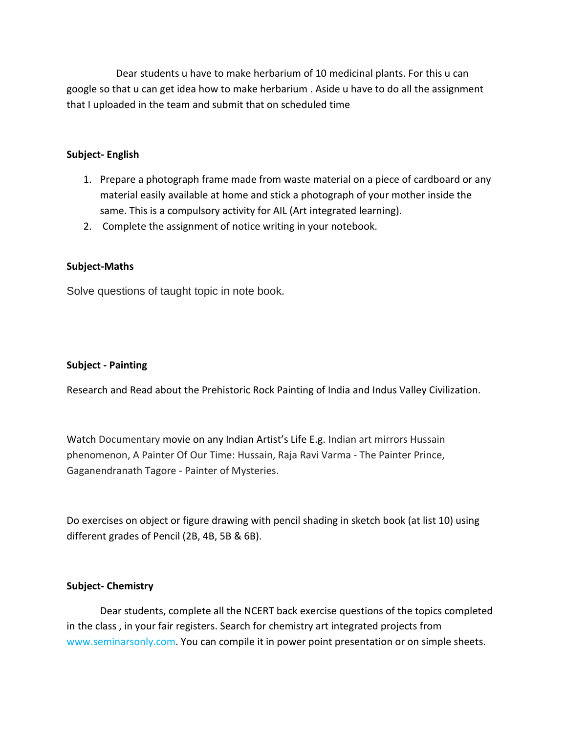Dear students u have to make herbarium of 10 medicinal plants. For this u can google so that u can get idea how to make herbarium . Aside u have to do all the assignment that I uploaded in the team and submit that on scheduled time

#### **Subject- English**

- 1. Prepare a photograph frame made from waste material on a piece of cardboard or any material easily available at home and stick a photograph of your mother inside the same. This is a compulsory activity for AIL (Art integrated learning).
- 2. Complete the assignment of notice writing in your notebook.

#### **Subject-Maths**

Solve questions of taught topic in note book.

#### **Subject - Painting**

Research and Read about the Prehistoric Rock Painting of India and Indus Valley Civilization.

Watch Documentary movie on any Indian Artist's Life E.g. Indian art mirrors Hussain phenomenon, A Painter Of Our Time: Hussain, Raja Ravi Varma - The Painter Prince, Gaganendranath Tagore - Painter of Mysteries.

Do exercises on object or figure drawing with pencil shading in sketch book (at list 10) using different grades of Pencil (2B, 4B, 5B & 6B).

#### **Subject- Chemistry**

Dear students, complete all the NCERT back exercise questions of the topics completed in the class , in your fair registers. Search for chemistry art integrated projects from www.seminarsonly.com. You can compile it in power point presentation or on simple sheets.